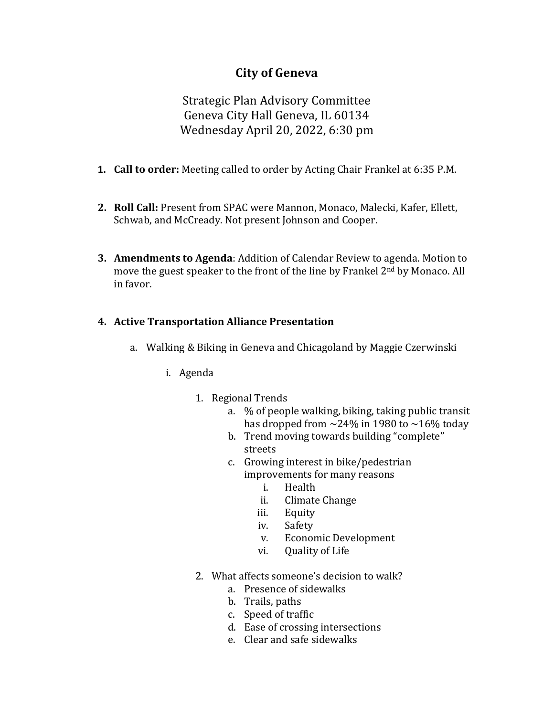# **City of Geneva**

Strategic Plan Advisory Committee Geneva City Hall Geneva, IL 60134 Wednesday April 20, 2022, 6:30 pm

- **1. Call to order:** Meeting called to order by Acting Chair Frankel at 6:35 P.M.
- **2. Roll Call:** Present from SPAC were Mannon, Monaco, Malecki, Kafer, Ellett, Schwab, and McCready. Not present Johnson and Cooper.
- **3. Amendments to Agenda**: Addition of Calendar Review to agenda. Motion to move the guest speaker to the front of the line by Frankel 2<sup>nd</sup> by Monaco. All in favor.

#### **4. Active Transportation Alliance Presentation**

- a. Walking & Biking in Geneva and Chicagoland by Maggie Czerwinski
	- i. Agenda
		- 1. Regional Trends
			- a. % of people walking, biking, taking public transit has dropped from  $\sim$ 24% in 1980 to  $\sim$ 16% today
			- b. Trend moving towards building "complete" streets
			- c. Growing interest in bike/pedestrian improvements for many reasons
				- i. Health<br>ii. Climate
				- ii. Climate Change<br>iii. Equity
				- iii. Equity<br>iv. Safety
				-
				- iv. Safety<br>v. Econor v. Economic Development<br>vi. Ouality of Life
				- Quality of Life
		- 2. What affects someone's decision to walk?
			- a. Presence of sidewalks
			- b. Trails, paths
			- c. Speed of traffic
			- d. Ease of crossing intersections
			- e. Clear and safe sidewalks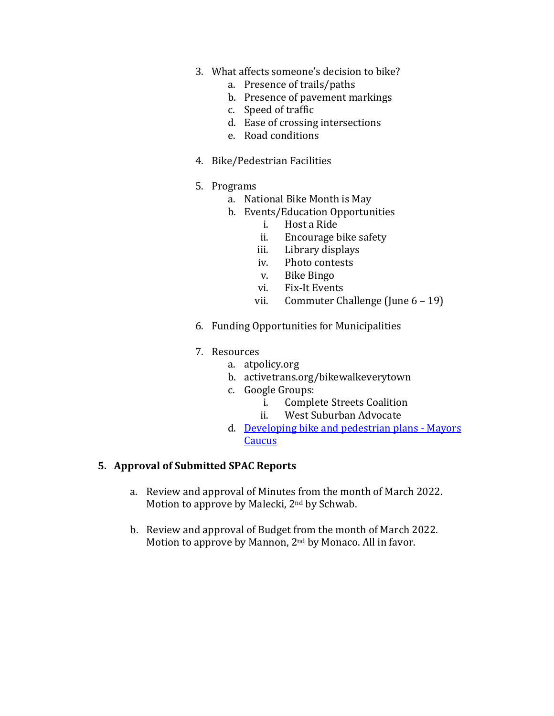- 3. What affects someone's decision to bike?
	- a. Presence of trails/paths
	- b. Presence of pavement markings
	- c. Speed of traffic
	- d. Ease of crossing intersections
	- e. Road conditions
- 4. Bike/Pedestrian Facilities
- 5. Programs
	- a. National Bike Month is May
	- b. Events/Education Opportunities<br>i. Host a Ride
		- i. Host a Ride
		- ii. Encourage bike safety<br>iii. Library displays
		-
		- iii. Library displays<br>iv. Photo contests iv. Photo contests<br>v. Bike Bingo
		-
		- v. Bike Bingo<br>vi. Fix-It Event
		- vi. Fix-It Events<br>vii. Commuter Ch Commuter Challenge (June  $6 - 19$ )
- 6. Funding Opportunities for Municipalities
- 7. Resources
	- a. atpolicy.org
	- b. activetrans.org/bikewalkeverytown
	- c. Google Groups:
		- i. Complete Streets Coalition<br>ii. West Suburban Advocate
		- West Suburban Advocate
	- d. [Developing bike and pedestrian plans -](https://mayorscaucus.org/developing-bike-ped-plans/) Mayors [Caucus](https://mayorscaucus.org/developing-bike-ped-plans/)

#### **5. Approval of Submitted SPAC Reports**

- a. Review and approval of Minutes from the month of March 2022. Motion to approve by Malecki, 2nd by Schwab.
- b. Review and approval of Budget from the month of March 2022. Motion to approve by Mannon, 2nd by Monaco. All in favor.